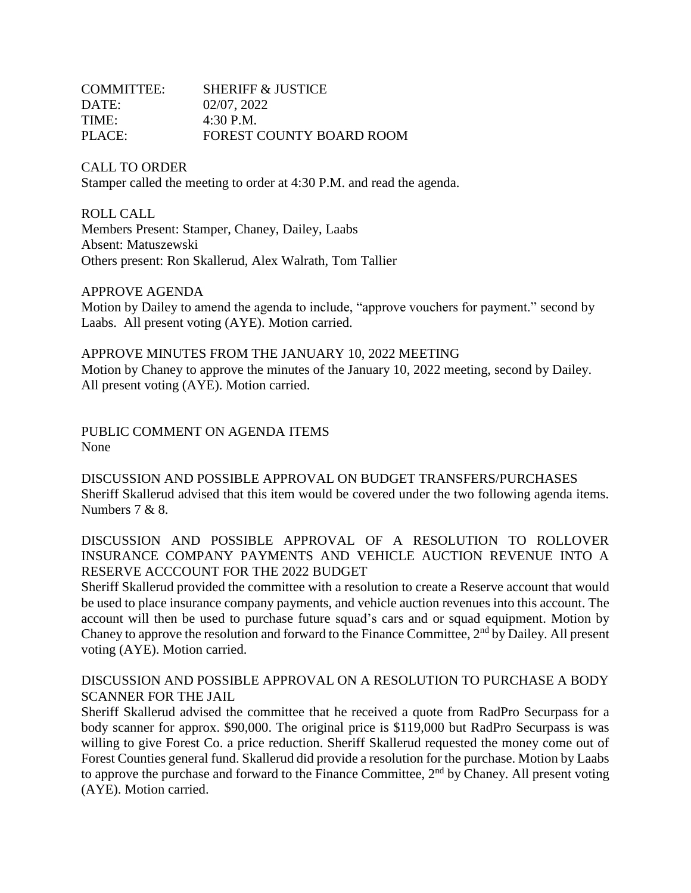| <b>COMMITTEE:</b> | <b>SHERIFF &amp; JUSTICE</b>    |
|-------------------|---------------------------------|
| DATE:             | 02/07, 2022                     |
| TIME:             | $4:30$ P.M.                     |
| PLACE:            | <b>FOREST COUNTY BOARD ROOM</b> |

CALL TO ORDER Stamper called the meeting to order at 4:30 P.M. and read the agenda.

ROLL CALL Members Present: Stamper, Chaney, Dailey, Laabs Absent: Matuszewski Others present: Ron Skallerud, Alex Walrath, Tom Tallier

APPROVE AGENDA

Motion by Dailey to amend the agenda to include, "approve vouchers for payment." second by Laabs. All present voting (AYE). Motion carried.

APPROVE MINUTES FROM THE JANUARY 10, 2022 MEETING Motion by Chaney to approve the minutes of the January 10, 2022 meeting, second by Dailey. All present voting (AYE). Motion carried.

PUBLIC COMMENT ON AGENDA ITEMS None

DISCUSSION AND POSSIBLE APPROVAL ON BUDGET TRANSFERS/PURCHASES Sheriff Skallerud advised that this item would be covered under the two following agenda items. Numbers 7 & 8.

DISCUSSION AND POSSIBLE APPROVAL OF A RESOLUTION TO ROLLOVER INSURANCE COMPANY PAYMENTS AND VEHICLE AUCTION REVENUE INTO A RESERVE ACCCOUNT FOR THE 2022 BUDGET

Sheriff Skallerud provided the committee with a resolution to create a Reserve account that would be used to place insurance company payments, and vehicle auction revenues into this account. The account will then be used to purchase future squad's cars and or squad equipment. Motion by Chaney to approve the resolution and forward to the Finance Committee,  $2<sup>nd</sup>$  by Dailey. All present voting (AYE). Motion carried.

DISCUSSION AND POSSIBLE APPROVAL ON A RESOLUTION TO PURCHASE A BODY SCANNER FOR THE JAIL

Sheriff Skallerud advised the committee that he received a quote from RadPro Securpass for a body scanner for approx. \$90,000. The original price is \$119,000 but RadPro Securpass is was willing to give Forest Co. a price reduction. Sheriff Skallerud requested the money come out of Forest Counties general fund. Skallerud did provide a resolution for the purchase. Motion by Laabs to approve the purchase and forward to the Finance Committee, 2<sup>nd</sup> by Chaney. All present voting (AYE). Motion carried.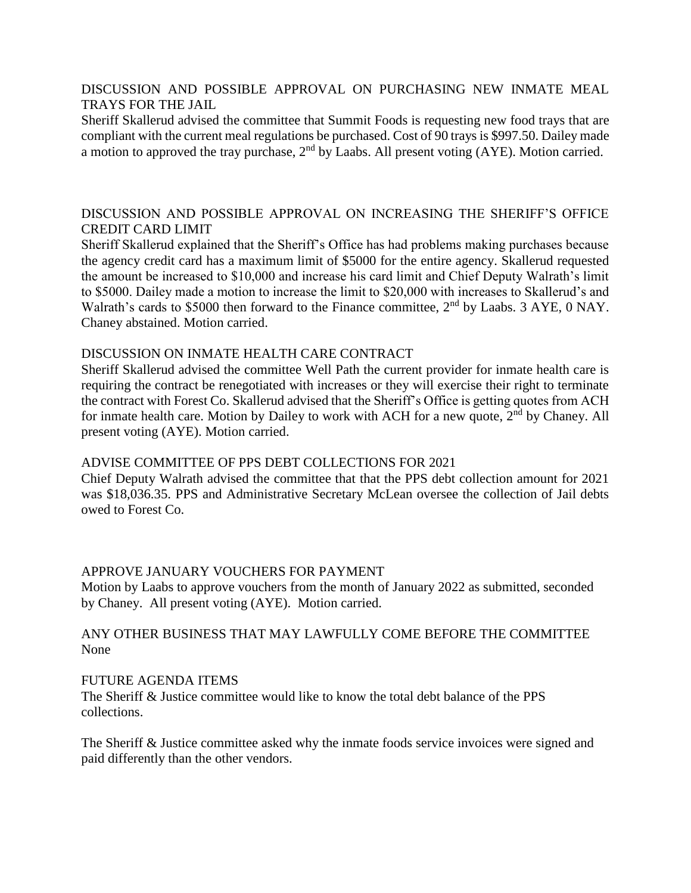### DISCUSSION AND POSSIBLE APPROVAL ON PURCHASING NEW INMATE MEAL TRAYS FOR THE JAIL

Sheriff Skallerud advised the committee that Summit Foods is requesting new food trays that are compliant with the current meal regulations be purchased. Cost of 90 trays is \$997.50. Dailey made a motion to approved the tray purchase,  $2<sup>nd</sup>$  by Laabs. All present voting (AYE). Motion carried.

## DISCUSSION AND POSSIBLE APPROVAL ON INCREASING THE SHERIFF'S OFFICE CREDIT CARD LIMIT

Sheriff Skallerud explained that the Sheriff's Office has had problems making purchases because the agency credit card has a maximum limit of \$5000 for the entire agency. Skallerud requested the amount be increased to \$10,000 and increase his card limit and Chief Deputy Walrath's limit to \$5000. Dailey made a motion to increase the limit to \$20,000 with increases to Skallerud's and Walrath's cards to \$5000 then forward to the Finance committee, 2<sup>nd</sup> by Laabs. 3 AYE, 0 NAY. Chaney abstained. Motion carried.

### DISCUSSION ON INMATE HEALTH CARE CONTRACT

Sheriff Skallerud advised the committee Well Path the current provider for inmate health care is requiring the contract be renegotiated with increases or they will exercise their right to terminate the contract with Forest Co. Skallerud advised that the Sheriff's Office is getting quotes from ACH for inmate health care. Motion by Dailey to work with ACH for a new quote,  $2<sup>nd</sup>$  by Chaney. All present voting (AYE). Motion carried.

### ADVISE COMMITTEE OF PPS DEBT COLLECTIONS FOR 2021

Chief Deputy Walrath advised the committee that that the PPS debt collection amount for 2021 was \$18,036.35. PPS and Administrative Secretary McLean oversee the collection of Jail debts owed to Forest Co.

# APPROVE JANUARY VOUCHERS FOR PAYMENT

Motion by Laabs to approve vouchers from the month of January 2022 as submitted, seconded by Chaney. All present voting (AYE). Motion carried.

## ANY OTHER BUSINESS THAT MAY LAWFULLY COME BEFORE THE COMMITTEE None

### FUTURE AGENDA ITEMS

The Sheriff & Justice committee would like to know the total debt balance of the PPS collections.

The Sheriff & Justice committee asked why the inmate foods service invoices were signed and paid differently than the other vendors.